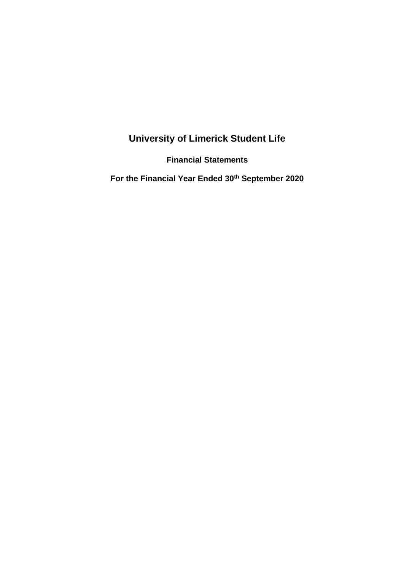# **University of Limerick Student Life**

**Financial Statements**

**For the Financial Year Ended 30th September 2020**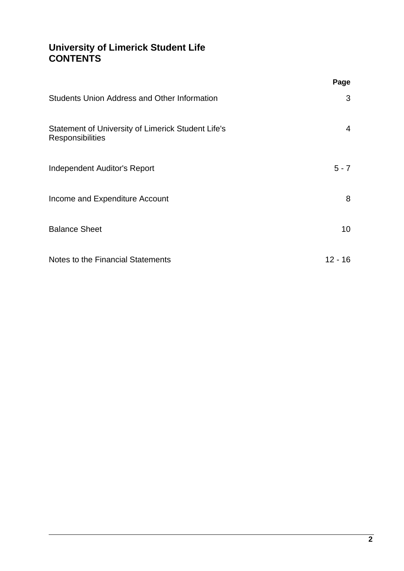### **University of Limerick Student Life CONTENTS**

|                                                                               | Page            |
|-------------------------------------------------------------------------------|-----------------|
| <b>Students Union Address and Other Information</b>                           | 3               |
| Statement of University of Limerick Student Life's<br><b>Responsibilities</b> | $\overline{4}$  |
| Independent Auditor's Report                                                  | $5 - 7$         |
| Income and Expenditure Account                                                | 8               |
| <b>Balance Sheet</b>                                                          | 10 <sup>°</sup> |
| Notes to the Financial Statements                                             | $12 - 16$       |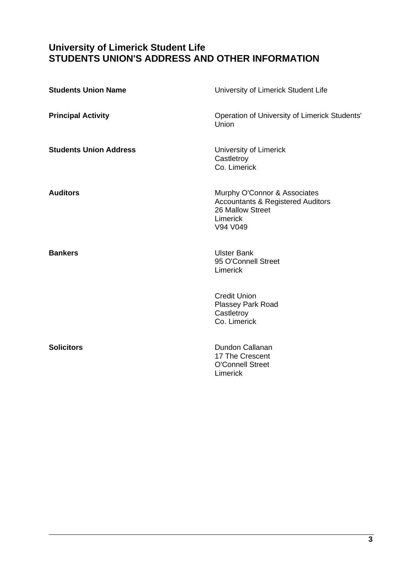### <span id="page-2-0"></span>**University of Limerick Student Life STUDENTS UNION'S ADDRESS AND OTHER INFORMATION**

| <b>Students Union Name</b>    | University of Limerick Student Life                                                                                      |
|-------------------------------|--------------------------------------------------------------------------------------------------------------------------|
| <b>Principal Activity</b>     | Operation of University of Limerick Students'<br>Union                                                                   |
| <b>Students Union Address</b> | University of Limerick<br>Castletroy<br>Co. Limerick                                                                     |
| <b>Auditors</b>               | Murphy O'Connor & Associates<br><b>Accountants &amp; Registered Auditors</b><br>26 Mallow Street<br>Limerick<br>V94 V049 |
| <b>Bankers</b>                | <b>Ulster Bank</b><br>95 O'Connell Street<br>Limerick                                                                    |
|                               | <b>Credit Union</b><br>Plassey Park Road<br>Castletroy<br>Co. Limerick                                                   |
| <b>Solicitors</b>             | <b>Dundon Callanan</b><br>17 The Crescent<br><b>O'Connell Street</b><br>Limerick                                         |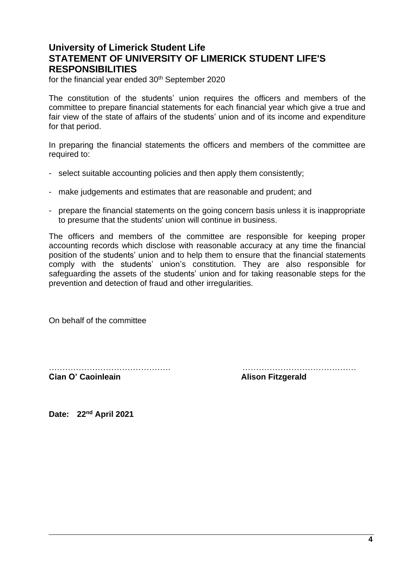### <span id="page-3-0"></span>**University of Limerick Student Life STATEMENT OF UNIVERSITY OF LIMERICK STUDENT LIFE'S RESPONSIBILITIES**

for the financial year ended 30<sup>th</sup> September 2020

The constitution of the students' union requires the officers and members of the committee to prepare financial statements for each financial year which give a true and fair view of the state of affairs of the students' union and of its income and expenditure for that period.

In preparing the financial statements the officers and members of the committee are required to:

- select suitable accounting policies and then apply them consistently;
- make judgements and estimates that are reasonable and prudent; and
- prepare the financial statements on the going concern basis unless it is inappropriate to presume that the students' union will continue in business.

The officers and members of the committee are responsible for keeping proper accounting records which disclose with reasonable accuracy at any time the financial position of the students' union and to help them to ensure that the financial statements comply with the students' union's constitution. They are also responsible for safeguarding the assets of the students' union and for taking reasonable steps for the prevention and detection of fraud and other irregularities.

On behalf of the committee

……………………………………… …………………………………… **Alison Fitzgerald**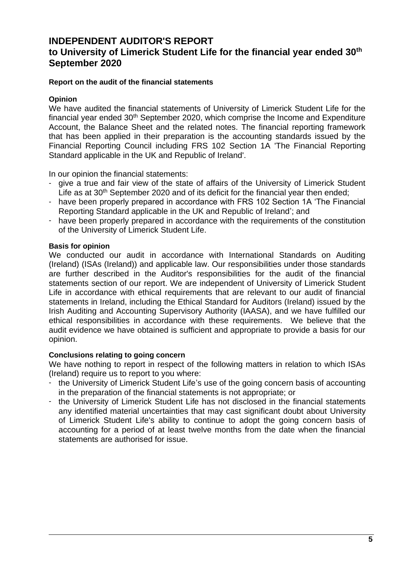### **INDEPENDENT AUDITOR'S REPORT**

## **to University of Limerick Student Life for the financial year ended 30th September 2020**

### <span id="page-4-0"></span>**Report on the audit of the financial statements**

### **Opinion**

We have audited the financial statements of University of Limerick Student Life for the financial year ended  $30<sup>th</sup>$  September 2020, which comprise the Income and Expenditure Account, the Balance Sheet and the related notes. The financial reporting framework that has been applied in their preparation is the accounting standards issued by the Financial Reporting Council including FRS 102 Section 1A 'The Financial Reporting Standard applicable in the UK and Republic of Ireland'.

In our opinion the financial statements:

- give a true and fair view of the state of affairs of the University of Limerick Student Life as at 30<sup>th</sup> September 2020 and of its deficit for the financial year then ended;
- have been properly prepared in accordance with FRS 102 Section 1A 'The Financial Reporting Standard applicable in the UK and Republic of Ireland'; and
- have been properly prepared in accordance with the requirements of the constitution of the University of Limerick Student Life.

### **Basis for opinion**

We conducted our audit in accordance with International Standards on Auditing (Ireland) (ISAs (Ireland)) and applicable law. Our responsibilities under those standards are further described in the Auditor's responsibilities for the audit of the financial statements section of our report. We are independent of University of Limerick Student Life in accordance with ethical requirements that are relevant to our audit of financial statements in Ireland, including the Ethical Standard for Auditors (Ireland) issued by the Irish Auditing and Accounting Supervisory Authority (IAASA), and we have fulfilled our ethical responsibilities in accordance with these requirements. We believe that the audit evidence we have obtained is sufficient and appropriate to provide a basis for our opinion.

### **Conclusions relating to going concern**

We have nothing to report in respect of the following matters in relation to which ISAs (Ireland) require us to report to you where:

- the University of Limerick Student Life's use of the going concern basis of accounting in the preparation of the financial statements is not appropriate; or
- the University of Limerick Student Life has not disclosed in the financial statements any identified material uncertainties that may cast significant doubt about University of Limerick Student Life's ability to continue to adopt the going concern basis of accounting for a period of at least twelve months from the date when the financial statements are authorised for issue.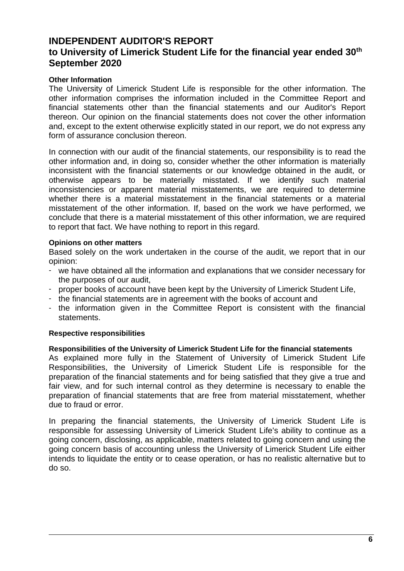### **INDEPENDENT AUDITOR'S REPORT to University of Limerick Student Life for the financial year ended 30th September 2020**

### **Other Information**

The University of Limerick Student Life is responsible for the other information. The other information comprises the information included in the Committee Report and financial statements other than the financial statements and our Auditor's Report thereon. Our opinion on the financial statements does not cover the other information and, except to the extent otherwise explicitly stated in our report, we do not express any form of assurance conclusion thereon.

In connection with our audit of the financial statements, our responsibility is to read the other information and, in doing so, consider whether the other information is materially inconsistent with the financial statements or our knowledge obtained in the audit, or otherwise appears to be materially misstated. If we identify such material inconsistencies or apparent material misstatements, we are required to determine whether there is a material misstatement in the financial statements or a material misstatement of the other information. If, based on the work we have performed, we conclude that there is a material misstatement of this other information, we are required to report that fact. We have nothing to report in this regard.

### **Opinions on other matters**

Based solely on the work undertaken in the course of the audit, we report that in our opinion:

- we have obtained all the information and explanations that we consider necessary for the purposes of our audit,
- proper books of account have been kept by the University of Limerick Student Life,
- the financial statements are in agreement with the books of account and
- the information given in the Committee Report is consistent with the financial statements.

### **Respective responsibilities**

### **Responsibilities of the University of Limerick Student Life for the financial statements**

As explained more fully in the Statement of University of Limerick Student Life Responsibilities, the University of Limerick Student Life is responsible for the preparation of the financial statements and for being satisfied that they give a true and fair view, and for such internal control as they determine is necessary to enable the preparation of financial statements that are free from material misstatement, whether due to fraud or error.

In preparing the financial statements, the University of Limerick Student Life is responsible for assessing University of Limerick Student Life's ability to continue as a going concern, disclosing, as applicable, matters related to going concern and using the going concern basis of accounting unless the University of Limerick Student Life either intends to liquidate the entity or to cease operation, or has no realistic alternative but to do so.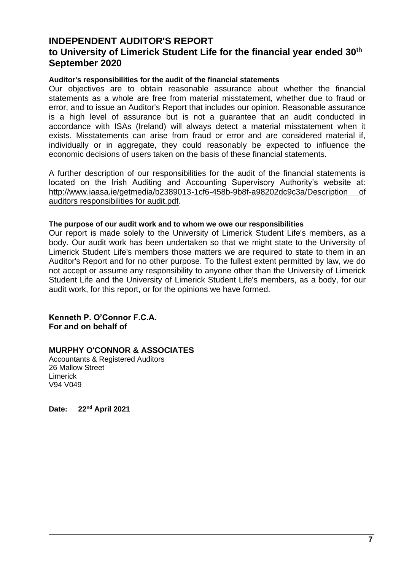### **INDEPENDENT AUDITOR'S REPORT**

### **to University of Limerick Student Life for the financial year ended 30th September 2020**

### **Auditor's responsibilities for the audit of the financial statements**

Our objectives are to obtain reasonable assurance about whether the financial statements as a whole are free from material misstatement, whether due to fraud or error, and to issue an Auditor's Report that includes our opinion. Reasonable assurance is a high level of assurance but is not a guarantee that an audit conducted in accordance with ISAs (Ireland) will always detect a material misstatement when it exists. Misstatements can arise from fraud or error and are considered material if, individually or in aggregate, they could reasonably be expected to influence the economic decisions of users taken on the basis of these financial statements.

A further description of our responsibilities for the audit of the financial statements is located on the Irish Auditing and Accounting Supervisory Authority's website at: <http://www.iaasa.ie/getmedia/b2389013-1cf6-458b-9b8f-a98202dc9c3a/Description> of auditors responsibilities for audit.pdf.

### **The purpose of our audit work and to whom we owe our responsibilities**

Our report is made solely to the University of Limerick Student Life's members, as a body. Our audit work has been undertaken so that we might state to the University of Limerick Student Life's members those matters we are required to state to them in an Auditor's Report and for no other purpose. To the fullest extent permitted by law, we do not accept or assume any responsibility to anyone other than the University of Limerick Student Life and the University of Limerick Student Life's members, as a body, for our audit work, for this report, or for the opinions we have formed.

**Kenneth P. O'Connor F.C.A. For and on behalf of**

### **MURPHY O'CONNOR & ASSOCIATES**

<span id="page-6-0"></span>Accountants & Registered Auditors 26 Mallow Street Limerick V94 V049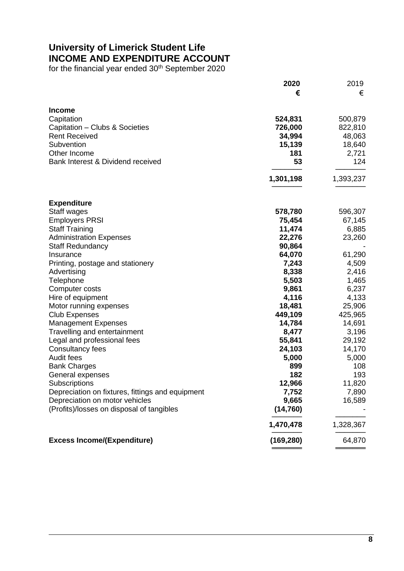## **University of Limerick Student Life INCOME AND EXPENDITURE ACCOUNT**

for the financial year ended 30<sup>th</sup> September 2020

|                                                  | 2020       | 2019      |
|--------------------------------------------------|------------|-----------|
|                                                  | €          | €         |
| <b>Income</b>                                    |            |           |
| Capitation                                       | 524,831    | 500,879   |
| Capitation - Clubs & Societies                   | 726,000    | 822,810   |
| <b>Rent Received</b>                             | 34,994     | 48,063    |
| Subvention                                       | 15,139     | 18,640    |
| Other Income                                     | 181        | 2,721     |
| Bank Interest & Dividend received                | 53         | 124       |
|                                                  | 1,301,198  | 1,393,237 |
| <b>Expenditure</b>                               |            |           |
| Staff wages                                      | 578,780    | 596,307   |
| <b>Employers PRSI</b>                            | 75,454     | 67,145    |
| <b>Staff Training</b>                            | 11,474     | 6,885     |
| <b>Administration Expenses</b>                   | 22,276     | 23,260    |
| <b>Staff Redundancy</b>                          | 90,864     |           |
| Insurance                                        | 64,070     | 61,290    |
| Printing, postage and stationery                 | 7,243      | 4,509     |
| Advertising                                      | 8,338      | 2,416     |
| Telephone                                        | 5,503      | 1,465     |
| Computer costs                                   | 9,861      | 6,237     |
| Hire of equipment                                | 4,116      | 4,133     |
| Motor running expenses                           | 18,481     | 25,906    |
| <b>Club Expenses</b>                             | 449,109    | 425,965   |
| <b>Management Expenses</b>                       | 14,784     | 14,691    |
| Travelling and entertainment                     | 8,477      | 3,196     |
| Legal and professional fees                      | 55,841     | 29,192    |
| Consultancy fees                                 | 24,103     | 14,170    |
| Audit fees                                       | 5,000      | 5,000     |
| <b>Bank Charges</b>                              | 899        | 108       |
| General expenses                                 | 182        | 193       |
| Subscriptions                                    | 12,966     | 11,820    |
| Depreciation on fixtures, fittings and equipment | 7,752      | 7,890     |
| Depreciation on motor vehicles                   | 9,665      | 16,589    |
| (Profits)/losses on disposal of tangibles        | (14, 760)  |           |
|                                                  | 1,470,478  | 1,328,367 |
| <b>Excess Income/(Expenditure)</b>               | (169, 280) | 64,870    |
|                                                  |            |           |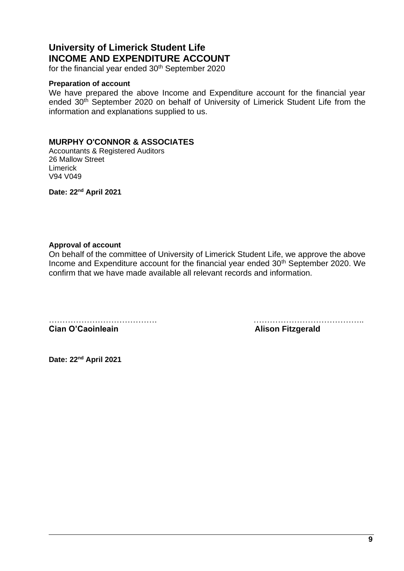## **University of Limerick Student Life INCOME AND EXPENDITURE ACCOUNT**

for the financial year ended 30<sup>th</sup> September 2020

#### **Preparation of account**

We have prepared the above Income and Expenditure account for the financial year ended 30<sup>th</sup> September 2020 on behalf of University of Limerick Student Life from the information and explanations supplied to us.

### **MURPHY O'CONNOR & ASSOCIATES**

Accountants & Registered Auditors 26 Mallow Street Limerick V94 V049

**Date: 22nd April 2021**

### **Approval of account**

On behalf of the committee of University of Limerick Student Life, we approve the above Income and Expenditure account for the financial year ended 30th September 2020. We confirm that we have made available all relevant records and information.

**Cian O'Caoinleain Alison Fitzgerald**

…………………………………. …………………………………..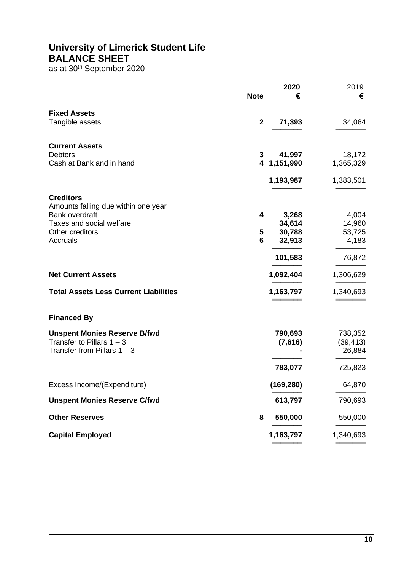### **University of Limerick Student Life BALANCE SHEET**

as at  $30<sup>th</sup>$  September 2020

|                                              |             | 2020       | 2019      |
|----------------------------------------------|-------------|------------|-----------|
|                                              | <b>Note</b> | €          | €         |
| <b>Fixed Assets</b>                          |             |            |           |
| Tangible assets                              | $\mathbf 2$ | 71,393     | 34,064    |
| <b>Current Assets</b>                        |             |            |           |
| <b>Debtors</b>                               | 3           | 41,997     | 18,172    |
| Cash at Bank and in hand                     | 4           | 1,151,990  | 1,365,329 |
|                                              |             | 1,193,987  | 1,383,501 |
| <b>Creditors</b>                             |             |            |           |
| Amounts falling due within one year          |             |            |           |
| <b>Bank overdraft</b>                        | 4           | 3,268      | 4,004     |
| Taxes and social welfare                     |             | 34,614     | 14,960    |
| Other creditors                              | 5           | 30,788     | 53,725    |
| Accruals                                     | 6           | 32,913     | 4,183     |
|                                              |             | 101,583    | 76,872    |
| <b>Net Current Assets</b>                    |             | 1,092,404  | 1,306,629 |
| <b>Total Assets Less Current Liabilities</b> |             | 1,163,797  | 1,340,693 |
| <b>Financed By</b>                           |             |            |           |
| <b>Unspent Monies Reserve B/fwd</b>          |             | 790,693    | 738,352   |
| Transfer to Pillars $1 - 3$                  |             | (7,616)    | (39, 413) |
| Transfer from Pillars $1 - 3$                |             |            | 26,884    |
|                                              |             | 783,077    | 725,823   |
| Excess Income/(Expenditure)                  |             | (169, 280) | 64,870    |
| <b>Unspent Monies Reserve C/fwd</b>          |             | 613,797    | 790,693   |
| <b>Other Reserves</b>                        | 8           | 550,000    | 550,000   |
| <b>Capital Employed</b>                      |             | 1,163,797  | 1,340,693 |
|                                              |             |            |           |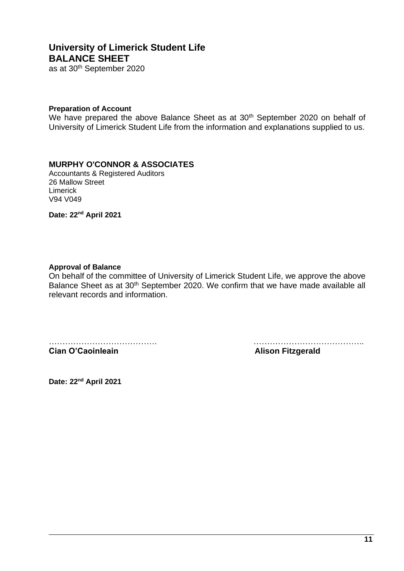## **University of Limerick Student Life BALANCE SHEET**

as at 30th September 2020

#### **Preparation of Account**

We have prepared the above Balance Sheet as at 30<sup>th</sup> September 2020 on behalf of University of Limerick Student Life from the information and explanations supplied to us.

### **MURPHY O'CONNOR & ASSOCIATES**

Accountants & Registered Auditors 26 Mallow Street Limerick V94 V049

**Date: 22nd April 2021**

#### **Approval of Balance**

On behalf of the committee of University of Limerick Student Life, we approve the above Balance Sheet as at 30<sup>th</sup> September 2020. We confirm that we have made available all relevant records and information.

…………………………………. …………………………………..

**Cian O'Caoinleain Alison Fitzgerald**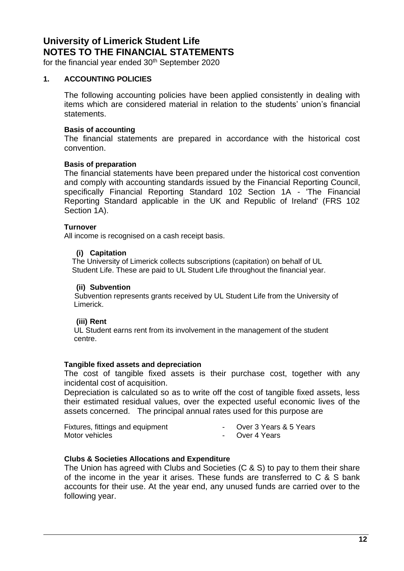for the financial year ended  $30<sup>th</sup>$  September 2020

### <span id="page-11-0"></span>**1. ACCOUNTING POLICIES**

The following accounting policies have been applied consistently in dealing with items which are considered material in relation to the students' union's financial statements.

### **Basis of accounting**

The financial statements are prepared in accordance with the historical cost convention.

### **Basis of preparation**

The financial statements have been prepared under the historical cost convention and comply with accounting standards issued by the Financial Reporting Council, specifically Financial Reporting Standard 102 Section 1A - 'The Financial Reporting Standard applicable in the UK and Republic of Ireland' (FRS 102 Section 1A).

### **Turnover**

All income is recognised on a cash receipt basis.

### **(i) Capitation**

The University of Limerick collects subscriptions (capitation) on behalf of UL Student Life. These are paid to UL Student Life throughout the financial year.

### **(ii) Subvention**

Subvention represents grants received by UL Student Life from the University of Limerick.

### **(iii) Rent**

 UL Student earns rent from its involvement in the management of the student centre.

### **Tangible fixed assets and depreciation**

The cost of tangible fixed assets is their purchase cost, together with any incidental cost of acquisition.

Depreciation is calculated so as to write off the cost of tangible fixed assets, less their estimated residual values, over the expected useful economic lives of the assets concerned. The principal annual rates used for this purpose are

Fixtures, fittings and equipment - Over 3 Years & 5 Years Motor vehicles **Accord 2018** Motor vehicles

- 
- 

### **Clubs & Societies Allocations and Expenditure**

The Union has agreed with Clubs and Societies (C & S) to pay to them their share of the income in the year it arises. These funds are transferred to C & S bank accounts for their use. At the year end, any unused funds are carried over to the following year.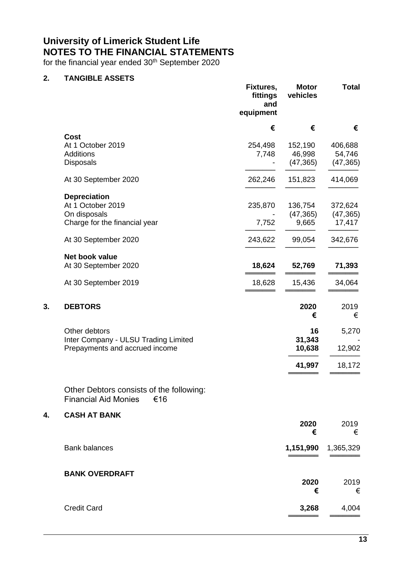for the financial year ended 30<sup>th</sup> September 2020

### **2. TANGIBLE ASSETS**

|    |                                                                                | Fixtures,<br>fittings<br>and<br>equipment | <b>Motor</b><br>vehicles | <b>Total</b>        |
|----|--------------------------------------------------------------------------------|-------------------------------------------|--------------------------|---------------------|
|    |                                                                                | €                                         | €                        | €                   |
|    | <b>Cost</b><br>At 1 October 2019                                               | 254,498                                   | 152,190                  | 406,688             |
|    | <b>Additions</b>                                                               | 7,748                                     | 46,998                   | 54,746              |
|    | Disposals                                                                      |                                           | (47, 365)                | (47, 365)           |
|    | At 30 September 2020                                                           | 262,246                                   | 151,823                  | 414,069             |
|    | <b>Depreciation</b>                                                            |                                           |                          |                     |
|    | At 1 October 2019                                                              | 235,870                                   | 136,754                  | 372,624             |
|    | On disposals<br>Charge for the financial year                                  | 7,752                                     | (47, 365)<br>9,665       | (47, 365)<br>17,417 |
|    | At 30 September 2020                                                           | 243,622                                   | 99,054                   | 342,676             |
|    | Net book value                                                                 |                                           |                          |                     |
|    | At 30 September 2020                                                           | 18,624                                    | 52,769                   | 71,393              |
|    | At 30 September 2019                                                           | 18,628                                    | 15,436                   | 34,064              |
| 3. | <b>DEBTORS</b>                                                                 |                                           | 2020<br>€                | 2019<br>€           |
|    | Other debtors                                                                  |                                           | 16                       | 5,270               |
|    | Inter Company - ULSU Trading Limited                                           |                                           | 31,343                   |                     |
|    | Prepayments and accrued income                                                 |                                           | 10,638                   | 12,902              |
|    |                                                                                |                                           | 41,997                   | 18,172              |
|    | Other Debtors consists of the following:<br><b>Financial Aid Monies</b><br>€16 |                                           |                          |                     |
| 4. | <b>CASH AT BANK</b>                                                            |                                           |                          |                     |
|    |                                                                                |                                           | 2020<br>€                | 2019<br>€           |
|    | <b>Bank balances</b>                                                           |                                           | 1,151,990                | 1,365,329           |
|    | <b>BANK OVERDRAFT</b>                                                          |                                           |                          |                     |
|    |                                                                                |                                           | 2020<br>€                | 2019<br>€           |
|    | <b>Credit Card</b>                                                             |                                           | 3,268                    | 4,004               |
|    |                                                                                |                                           |                          |                     |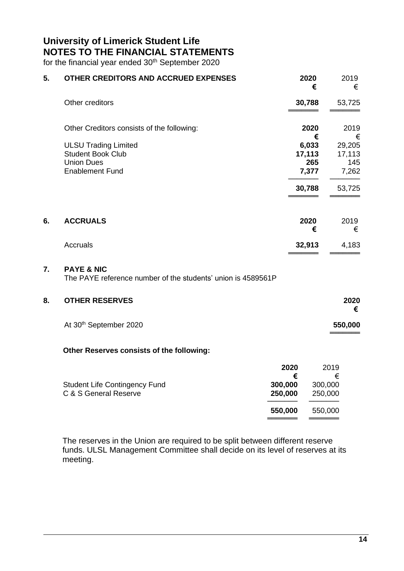for the financial year ended 30<sup>th</sup> September 2020

| 5. | OTHER CREDITORS AND ACCRUED EXPENSES                                                                   |                      | 2020<br>€                       | 2019<br>€                        |
|----|--------------------------------------------------------------------------------------------------------|----------------------|---------------------------------|----------------------------------|
|    | Other creditors                                                                                        |                      | 30,788                          | 53,725                           |
|    | Other Creditors consists of the following:                                                             |                      | 2020<br>€                       | 2019<br>€                        |
|    | <b>ULSU Trading Limited</b><br><b>Student Book Club</b><br><b>Union Dues</b><br><b>Enablement Fund</b> |                      | 6,033<br>17,113<br>265<br>7,377 | 29,205<br>17,113<br>145<br>7,262 |
|    |                                                                                                        |                      | 30,788                          | 53,725                           |
| 6. | <b>ACCRUALS</b>                                                                                        |                      | 2020<br>€                       | 2019<br>€                        |
|    | Accruals                                                                                               |                      | 32,913                          | 4,183                            |
| 7. | <b>PAYE &amp; NIC</b><br>The PAYE reference number of the students' union is 4589561P                  |                      |                                 |                                  |
| 8. | <b>OTHER RESERVES</b>                                                                                  |                      |                                 | 2020<br>€                        |
|    | At 30th September 2020                                                                                 |                      |                                 | 550,000                          |
|    | Other Reserves consists of the following:                                                              |                      |                                 |                                  |
|    | <b>Student Life Contingency Fund</b>                                                                   | 2020<br>€<br>300,000 | 300,000                         | 2019<br>€                        |
|    | C & S General Reserve                                                                                  | 250,000              | 250,000                         |                                  |
|    |                                                                                                        | 550,000              | 550,000                         |                                  |

The reserves in the Union are required to be split between different reserve funds. ULSL Management Committee shall decide on its level of reserves at its meeting.

═══════════════════════════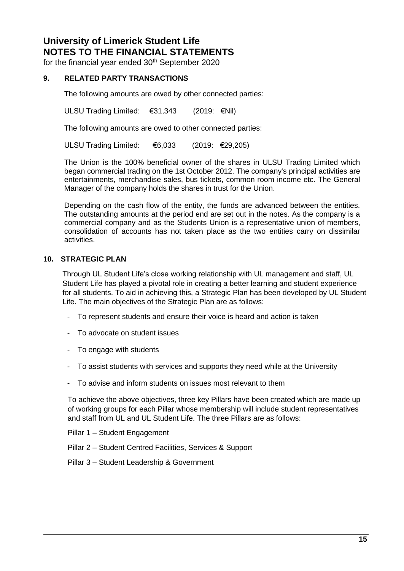for the financial year ended 30<sup>th</sup> September 2020

### **9. RELATED PARTY TRANSACTIONS**

The following amounts are owed by other connected parties:

ULSU Trading Limited: €31,343 (2019: €Nil)

The following amounts are owed to other connected parties:

ULSU Trading Limited: €6,033 (2019: €29,205)

The Union is the 100% beneficial owner of the shares in ULSU Trading Limited which began commercial trading on the 1st October 2012. The company's principal activities are entertainments, merchandise sales, bus tickets, common room income etc. The General Manager of the company holds the shares in trust for the Union.

Depending on the cash flow of the entity, the funds are advanced between the entities. The outstanding amounts at the period end are set out in the notes. As the company is a commercial company and as the Students Union is a representative union of members, consolidation of accounts has not taken place as the two entities carry on dissimilar activities.

### **10. STRATEGIC PLAN**

Through UL Student Life's close working relationship with UL management and staff, UL Student Life has played a pivotal role in creating a better learning and student experience for all students. To aid in achieving this, a Strategic Plan has been developed by UL Student Life. The main objectives of the Strategic Plan are as follows:

- To represent students and ensure their voice is heard and action is taken
- To advocate on student issues
- To engage with students
- To assist students with services and supports they need while at the University
- To advise and inform students on issues most relevant to them

To achieve the above objectives, three key Pillars have been created which are made up of working groups for each Pillar whose membership will include student representatives and staff from UL and UL Student Life. The three Pillars are as follows:

Pillar 1 – Student Engagement

- Pillar 2 Student Centred Facilities, Services & Support
- Pillar 3 Student Leadership & Government